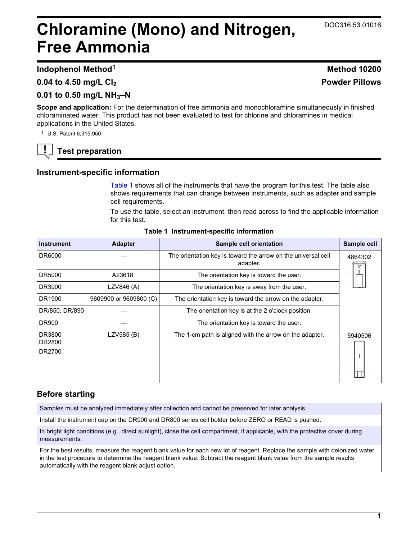# <span id="page-0-0"></span>**Chloramine (Mono) and Nitrogen, Free Ammonia**

# **Indophenol Method<sup>1</sup> Method 10200**

**0.04 to 4.50 mg/L Cl<sup>2</sup>**

# **0.01 to 0.50 mg/L NH3–N**

**Scope and application:** For the determination of free ammonia and monochloramine simultaneously in finished chloraminated water. This product has not been evaluated to test for chlorine and chloramines in medical applications in the United States.

<sup>1</sup> U.S. Patent 6,315,950

# **Test preparation**

## **Instrument-specific information**

Table 1 shows all of the instruments that have the program for this test. The table also shows requirements that can change between instruments, such as adapter and sample cell requirements.

To use the table, select an instrument, then read across to find the applicable information for this test.

| <b>Instrument</b>          | <b>Adapter</b>         | Sample cell orientation                                                   | Sample cell  |
|----------------------------|------------------------|---------------------------------------------------------------------------|--------------|
| DR6000                     |                        | The orientation key is toward the arrow on the universal cell<br>adapter. | 4864302<br>▽ |
| DR5000                     | A23618                 | The orientation key is toward the user.                                   |              |
| DR3900                     | LZV846 (A)             | The orientation key is away from the user.                                |              |
| DR1900                     | 9609900 or 9609800 (C) | The orientation key is toward the arrow on the adapter.                   |              |
| DR/850, DR/890             |                        | The orientation key is at the 2 o'clock position.                         |              |
| <b>DR900</b>               |                        | The orientation key is toward the user.                                   |              |
| DR3800<br>DR2800<br>DR2700 | LZV585 (B)             | The 1-cm path is aligned with the arrow on the adapter.                   | 5940506      |

#### **Table 1 Instrument-specific information**

# **Before starting**

Samples must be analyzed immediately after collection and cannot be preserved for later analysis.

Install the instrument cap on the DR900 and DR800 series cell holder before ZERO or READ is pushed.

In bright light conditions (e.g., direct sunlight), close the cell compartment, if applicable, with the protective cover during measurements.

For the best results, measure the reagent blank value for each new lot of reagent. Replace the sample with deionized water in the test procedure to determine the reagent blank value. Subtract the reagent blank value from the sample results automatically with the reagent blank adjust option.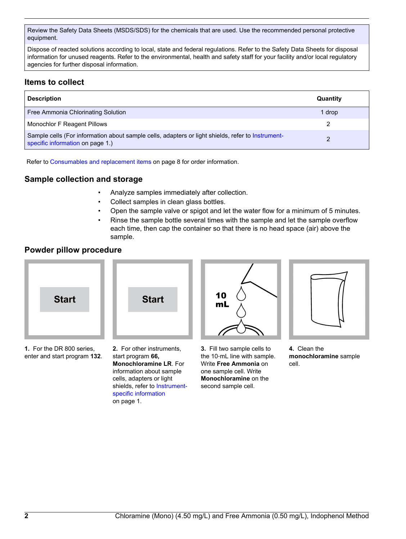Review the Safety Data Sheets (MSDS/SDS) for the chemicals that are used. Use the recommended personal protective equipment.

Dispose of reacted solutions according to local, state and federal regulations. Refer to the Safety Data Sheets for disposal information for unused reagents. Refer to the environmental, health and safety staff for your facility and/or local regulatory agencies for further disposal information.

# **Items to collect**

| <b>Description</b>                                                                                                                    | Quantity |
|---------------------------------------------------------------------------------------------------------------------------------------|----------|
| Free Ammonia Chlorinating Solution                                                                                                    | 1 drop   |
| Monochlor F Reagent Pillows                                                                                                           | 2        |
| Sample cells (For information about sample cells, adapters or light shields, refer to Instrument-<br>specific information on page 1.) | 2        |

Refer to [Consumables and replacement items](#page-7-0) on page 8 for order information.

## **Sample collection and storage**

- Analyze samples immediately after collection.
- Collect samples in clean glass bottles.
- Open the sample valve or spigot and let the water flow for a minimum of 5 minutes.
- Rinse the sample bottle several times with the sample and let the sample overflow each time, then cap the container so that there is no head space (air) above the sample.

#### **Powder pillow procedure**



enter and start program **132**.

**2.** For other instruments, start program **66, Monochloramine LR**. For information about sample cells, adapters or light shields, refer to [Instrument](#page-0-0)[specific information](#page-0-0) on page 1.

**3.** Fill two sample cells to the 10‑mL line with sample. Write **Free Ammonia** on one sample cell. Write **Monochloramine** on the second sample cell.

**4.** Clean the **monochloramine** sample cell.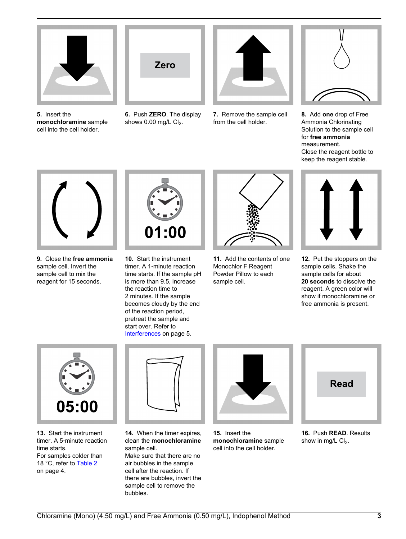

**5.** Insert the **monochloramine** sample cell into the cell holder.



**6.** Push **ZERO**. The display shows  $0.00$  mg/L  $Cl<sub>2</sub>$ .



**7.** Remove the sample cell from the cell holder.



**8.** Add **one** drop of Free Ammonia Chlorinating Solution to the sample cell for **free ammonia** measurement. Close the reagent bottle to keep the reagent stable.



**9.** Close the **free ammonia** sample cell. Invert the sample cell to mix the reagent for 15 seconds.



**10.** Start the instrument timer. A 1‑minute reaction time starts. If the sample pH is more than 9.5, increase the reaction time to 2 minutes. If the sample becomes cloudy by the end of the reaction period, pretreat the sample and start over. Refer to [Interferences](#page-4-0) on page 5.



**11.** Add the contents of one Monochlor F Reagent Powder Pillow to each sample cell.



**12.** Put the stoppers on the sample cells. Shake the sample cells for about **20 seconds** to dissolve the reagent. A green color will show if monochloramine or free ammonia is present.



**13.** Start the instrument timer. A 5‑minute reaction time starts. For samples colder than 18 °C, refer to [Table 2](#page-3-0) on page 4.



**14.** When the timer expires, clean the **monochloramine** sample cell. Make sure that there are no air bubbles in the sample cell after the reaction. If there are bubbles, invert the sample cell to remove the bubbles.



**15.** Insert the **monochloramine** sample cell into the cell holder.



**16.** Push **READ**. Results show in mg/L  $Cl<sub>2</sub>$ .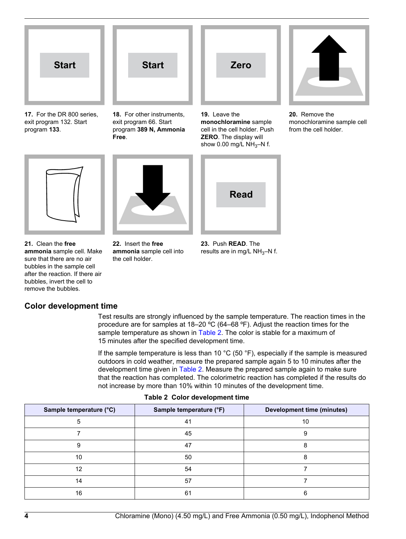<span id="page-3-0"></span>

**17.** For the DR 800 series, exit program 132. Start program **133**.



**18.** For other instruments, exit program 66. Start program **389 N, Ammonia Free**.



**monochloramine** sample cell in the cell holder. Push **ZERO**. The display will show 0.00 mg/L  $NH<sub>3</sub>-N$  f.



**20.** Remove the monochloramine sample cell from the cell holder.



**ammonia** sample cell into

the cell holder.

**22.** Insert the **free**



**23.** Push **READ**. The results are in mg/L  $NH<sub>3</sub>-N$  f.

**21.** Clean the **free ammonia** sample cell. Make sure that there are no air bubbles in the sample cell after the reaction. If there air bubbles, invert the cell to remove the bubbles.

# **Color development time**

Test results are strongly influenced by the sample temperature. The reaction times in the procedure are for samples at 18–20 ºC (64–68 ºF). Adjust the reaction times for the sample temperature as shown in Table 2. The color is stable for a maximum of 15 minutes after the specified development time.

If the sample temperature is less than 10  $^{\circ}$ C (50  $^{\circ}$ F), especially if the sample is measured outdoors in cold weather, measure the prepared sample again 5 to 10 minutes after the development time given in Table 2. Measure the prepared sample again to make sure that the reaction has completed. The colorimetric reaction has completed if the results do not increase by more than 10% within 10 minutes of the development time.

| Sample temperature (°C) | Sample temperature (°F) | <b>Development time (minutes)</b> |
|-------------------------|-------------------------|-----------------------------------|
|                         | 41                      | 10                                |
|                         | 45                      |                                   |
| 9                       | 47                      |                                   |
| 10                      | 50                      |                                   |
| 12                      | 54                      |                                   |
| 14                      | 57                      |                                   |
| 16                      | 61                      |                                   |

**Table 2 Color development time**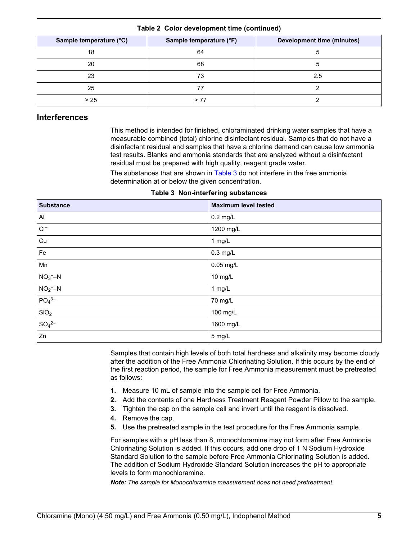<span id="page-4-0"></span>

| Sample temperature (°C) | Sample temperature (°F) | <b>Development time (minutes)</b> |
|-------------------------|-------------------------|-----------------------------------|
| 18                      | 64                      |                                   |
| 20                      | 68                      |                                   |
| 23                      | 73                      | 2.5                               |
| 25                      |                         |                                   |
| > 25                    |                         |                                   |

#### **Table 2 Color development time (continued)**

#### **Interferences**

This method is intended for finished, chloraminated drinking water samples that have a measurable combined (total) chlorine disinfectant residual. Samples that do not have a disinfectant residual and samples that have a chlorine demand can cause low ammonia test results. Blanks and ammonia standards that are analyzed without a disinfectant residual must be prepared with high quality, reagent grade water.

The substances that are shown in Table 3 do not interfere in the free ammonia determination at or below the given concentration.

**Table 3 Non-interfering substances**

| <b>Substance</b>              | <b>Maximum level tested</b> |
|-------------------------------|-----------------------------|
| AI                            | $0.2$ mg/L                  |
| $\mathsf{C}\mathsf{I}^-$      | 1200 mg/L                   |
| Cu                            | $1$ mg/L                    |
| Fe                            | $0.3$ mg/L                  |
| Mn                            | 0.05 mg/L                   |
| $NO3$ -N                      | 10 mg/L                     |
| $NO2-–N$                      | 1 mg/L                      |
| PO <sub>4</sub> <sup>3–</sup> | 70 mg/L                     |
| SiO <sub>2</sub>              | 100 mg/L                    |
| SO <sub>4</sub> <sup>2–</sup> | 1600 mg/L                   |
| Zn                            | 5 mg/L                      |

Samples that contain high levels of both total hardness and alkalinity may become cloudy after the addition of the Free Ammonia Chlorinating Solution. If this occurs by the end of the first reaction period, the sample for Free Ammonia measurement must be pretreated as follows:

- **1.** Measure 10 mL of sample into the sample cell for Free Ammonia.
- **2.** Add the contents of one Hardness Treatment Reagent Powder Pillow to the sample.
- **3.** Tighten the cap on the sample cell and invert until the reagent is dissolved.
- **4.** Remove the cap.
- **5.** Use the pretreated sample in the test procedure for the Free Ammonia sample.

For samples with a pH less than 8, monochloramine may not form after Free Ammonia Chlorinating Solution is added. If this occurs, add one drop of 1 N Sodium Hydroxide Standard Solution to the sample before Free Ammonia Chlorinating Solution is added. The addition of Sodium Hydroxide Standard Solution increases the pH to appropriate levels to form monochloramine.

*Note: The sample for Monochloramine measurement does not need pretreatment.*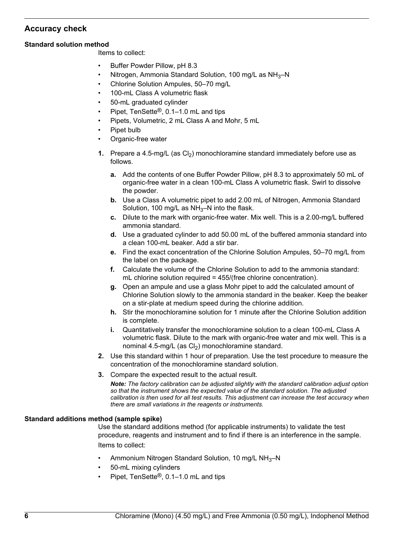# **Accuracy check**

#### **Standard solution method**

Items to collect:

- Buffer Powder Pillow, pH 8.3
- Nitrogen, Ammonia Standard Solution, 100 mg/L as NH<sub>3</sub>-N
- Chlorine Solution Ampules, 50–70 mg/L
- 100-mL Class A volumetric flask
- 50-mL graduated cylinder
- Pipet, TenSette®, 0.1–1.0 mL and tips
- Pipets, Volumetric, 2 mL Class A and Mohr, 5 mL
- Pipet bulb
- Organic-free water
- **1.** Prepare a 4.5-mg/L (as  $Cl<sub>2</sub>$ ) monochloramine standard immediately before use as follows.
	- **a.** Add the contents of one Buffer Powder Pillow, pH 8.3 to approximately 50 mL of organic-free water in a clean 100-mL Class A volumetric flask. Swirl to dissolve the powder.
	- **b.** Use a Class A volumetric pipet to add 2.00 mL of Nitrogen, Ammonia Standard Solution, 100 mg/L as  $NH<sub>3</sub>–N$  into the flask.
	- **c.** Dilute to the mark with organic-free water. Mix well. This is a 2.00-mg/L buffered ammonia standard.
	- **d.** Use a graduated cylinder to add 50.00 mL of the buffered ammonia standard into a clean 100-mL beaker. Add a stir bar.
	- **e.** Find the exact concentration of the Chlorine Solution Ampules, 50–70 mg/L from the label on the package.
	- **f.** Calculate the volume of the Chlorine Solution to add to the ammonia standard: mL chlorine solution required = 455/(free chlorine concentration).
	- **g.** Open an ampule and use a glass Mohr pipet to add the calculated amount of Chlorine Solution slowly to the ammonia standard in the beaker. Keep the beaker on a stir-plate at medium speed during the chlorine addition.
	- **h.** Stir the monochloramine solution for 1 minute after the Chlorine Solution addition is complete.
	- **i.** Quantitatively transfer the monochloramine solution to a clean 100-mL Class A volumetric flask. Dilute to the mark with organic-free water and mix well. This is a nominal 4.5-mg/L (as  $Cl<sub>2</sub>$ ) monochloramine standard.
- **2.** Use this standard within 1 hour of preparation. Use the test procedure to measure the concentration of the monochloramine standard solution.
- **3.** Compare the expected result to the actual result.

*Note: The factory calibration can be adjusted slightly with the standard calibration adjust option so that the instrument shows the expected value of the standard solution. The adjusted calibration is then used for all test results. This adjustment can increase the test accuracy when there are small variations in the reagents or instruments.*

#### **Standard additions method (sample spike)**

Use the standard additions method (for applicable instruments) to validate the test procedure, reagents and instrument and to find if there is an interference in the sample. Items to collect:

- Ammonium Nitrogen Standard Solution, 10 mg/L NH<sub>3</sub>-N
- 50-mL mixing cylinders
- Pipet, TenSette®, 0.1–1.0 mL and tips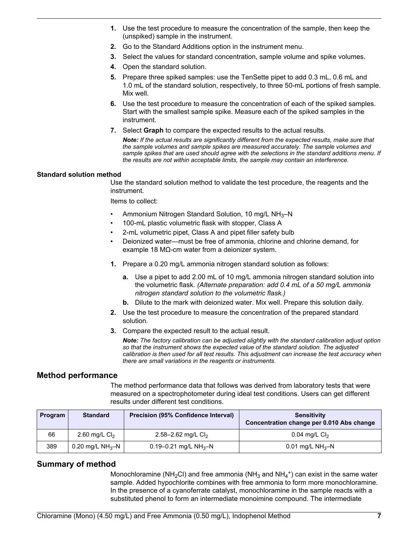- **1.** Use the test procedure to measure the concentration of the sample, then keep the (unspiked) sample in the instrument.
- **2.** Go to the Standard Additions option in the instrument menu.
- **3.** Select the values for standard concentration, sample volume and spike volumes.
- **4.** Open the standard solution.
- **5.** Prepare three spiked samples: use the TenSette pipet to add 0.3 mL, 0.6 mL and 1.0 mL of the standard solution, respectively, to three 50-mL portions of fresh sample. Mix well.
- **6.** Use the test procedure to measure the concentration of each of the spiked samples. Start with the smallest sample spike. Measure each of the spiked samples in the instrument.
- **7.** Select **Graph** to compare the expected results to the actual results.

*Note: If the actual results are significantly different from the expected results, make sure that the sample volumes and sample spikes are measured accurately. The sample volumes and sample spikes that are used should agree with the selections in the standard additions menu. If the results are not within acceptable limits, the sample may contain an interference.*

#### **Standard solution method**

Use the standard solution method to validate the test procedure, the reagents and the instrument.

Items to collect:

- Ammonium Nitrogen Standard Solution, 10 mg/L NH3–N
- 100-mL plastic volumetric flask with stopper, Class A
- 2-mL volumetric pipet, Class A and pipet filler safety bulb
- Deionized water—must be free of ammonia, chlorine and chlorine demand, for example 18 MΩ-cm water from a deionizer system.
- **1.** Prepare a 0.20 mg/L ammonia nitrogen standard solution as follows:
	- **a.** Use a pipet to add 2.00 mL of 10 mg/L ammonia nitrogen standard solution into the volumetric flask. *(Alternate preparation: add 0.4 mL of a 50 mg/L ammonia nitrogen standard solution to the volumetric flask.)*
	- **b.** Dilute to the mark with deionized water. Mix well. Prepare this solution daily.
- **2.** Use the test procedure to measure the concentration of the prepared standard solution.
- **3.** Compare the expected result to the actual result.

*Note: The factory calibration can be adjusted slightly with the standard calibration adjust option so that the instrument shows the expected value of the standard solution. The adjusted calibration is then used for all test results. This adjustment can increase the test accuracy when there are small variations in the reagents or instruments.*

## **Method performance**

The method performance data that follows was derived from laboratory tests that were measured on a spectrophotometer during ideal test conditions. Users can get different results under different test conditions.

| <b>Program</b> | <b>Standard</b>    | <b>Precision (95% Confidence Interval)</b> | <b>Sensitivity</b><br>Concentration change per 0.010 Abs change |
|----------------|--------------------|--------------------------------------------|-----------------------------------------------------------------|
| 66             | 2.60 mg/L $Cl2$    | 2.58–2.62 mg/L $Cl2$                       | $0.04$ mg/L $Cl2$                                               |
| 389            | 0.20 mg/L $NH_3-N$ | 0.19–0.21 mg/L NH <sub>3</sub> –N          | 0.01 mg/L $NH_3-N$                                              |

## **Summary of method**

Monochloramine (NH<sub>2</sub>Cl) and free ammonia (NH<sub>3</sub> and NH<sub>4</sub><sup>+</sup>) can exist in the same water sample. Added hypochlorite combines with free ammonia to form more monochloramine. In the presence of a cyanoferrate catalyst, monochloramine in the sample reacts with a substituted phenol to form an intermediate monoimine compound. The intermediate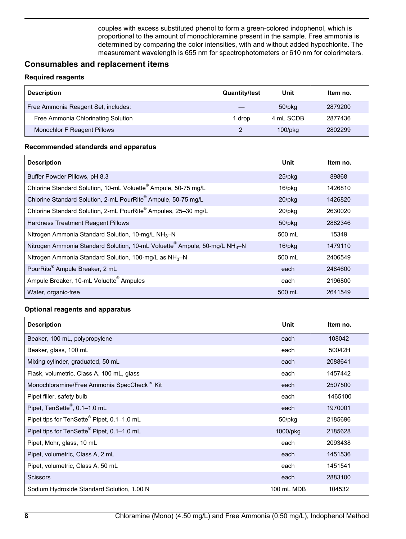couples with excess substituted phenol to form a green-colored indophenol, which is proportional to the amount of monochloramine present in the sample. Free ammonia is determined by comparing the color intensities, with and without added hypochlorite. The measurement wavelength is 655 nm for spectrophotometers or 610 nm for colorimeters.

#### <span id="page-7-0"></span>**Consumables and replacement items**

#### **Required reagents**

| <b>Description</b>                  | <b>Quantity/test</b> | Unit       | Item no. |
|-------------------------------------|----------------------|------------|----------|
| Free Ammonia Reagent Set, includes: |                      | 50/pkg     | 2879200  |
| Free Ammonia Chlorinating Solution  | l drop               | 4 mL SCDB  | 2877436  |
| Monochlor F Reagent Pillows         |                      | $100$ /pkg | 2802299  |

#### **Recommended standards and apparatus**

| <b>Description</b>                                                                                 | Unit         | Item no. |
|----------------------------------------------------------------------------------------------------|--------------|----------|
| Buffer Powder Pillows, pH 8.3                                                                      | 25/pkg       | 89868    |
| Chlorine Standard Solution, 10-mL Voluette <sup>®</sup> Ampule, 50-75 mg/L                         | 16/pkg       | 1426810  |
| Chlorine Standard Solution, 2-mL PourRite® Ampule, 50-75 mg/L                                      | $20$ /pkg    | 1426820  |
| Chlorine Standard Solution, 2-mL PourRite® Ampules, 25-30 mg/L                                     | 20/pkg       | 2630020  |
| Hardness Treatment Reagent Pillows                                                                 | $50$ /p $kg$ | 2882346  |
| Nitrogen Ammonia Standard Solution, 10-mg/L NH <sub>3</sub> -N                                     | 500 mL       | 15349    |
| Nitrogen Ammonia Standard Solution, 10-mL Voluette <sup>®</sup> Ampule, 50-mg/L NH <sub>3</sub> -N | $16$ /pkg    | 1479110  |
| Nitrogen Ammonia Standard Solution, 100-mg/L as $NH3-N$                                            | 500 mL       | 2406549  |
| PourRite <sup>®</sup> Ampule Breaker, 2 mL                                                         | each         | 2484600  |
| Ampule Breaker, 10-mL Voluette <sup>®</sup> Ampules                                                | each         | 2196800  |
| Water, organic-free                                                                                | 500 mL       | 2641549  |

#### **Optional reagents and apparatus**

| <b>Description</b>                                     | Unit         | Item no. |
|--------------------------------------------------------|--------------|----------|
| Beaker, 100 mL, polypropylene                          | each         | 108042   |
| Beaker, glass, 100 mL                                  | each         | 50042H   |
| Mixing cylinder, graduated, 50 mL                      | each         | 2088641  |
| Flask, volumetric, Class A, 100 mL, glass              | each         | 1457442  |
| Monochloramine/Free Ammonia SpecCheck™ Kit             | each         | 2507500  |
| Pipet filler, safety bulb                              | each         | 1465100  |
| Pipet, TenSette®, 0.1-1.0 mL                           | each         | 1970001  |
| Pipet tips for TenSette® Pipet, 0.1-1.0 mL             | $50$ /p $kg$ | 2185696  |
| Pipet tips for TenSette <sup>®</sup> Pipet, 0.1-1.0 mL | 1000/pkg     | 2185628  |
| Pipet, Mohr, glass, 10 mL                              | each         | 2093438  |
| Pipet, volumetric, Class A, 2 mL                       | each         | 1451536  |
| Pipet, volumetric, Class A, 50 mL                      | each         | 1451541  |
| <b>Scissors</b>                                        | each         | 2883100  |
| Sodium Hydroxide Standard Solution, 1.00 N             | 100 mL MDB   | 104532   |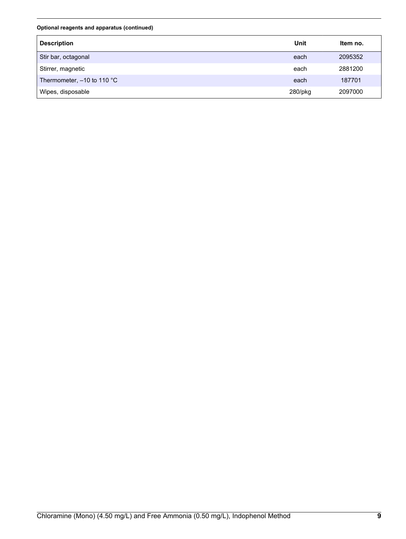**Optional reagents and apparatus (continued)**

| <b>Description</b>           | Unit    | Item no. |
|------------------------------|---------|----------|
| Stir bar, octagonal          | each    | 2095352  |
| Stirrer, magnetic            | each    | 2881200  |
| Thermometer, $-10$ to 110 °C | each    | 187701   |
| Wipes, disposable            | 280/pkg | 2097000  |